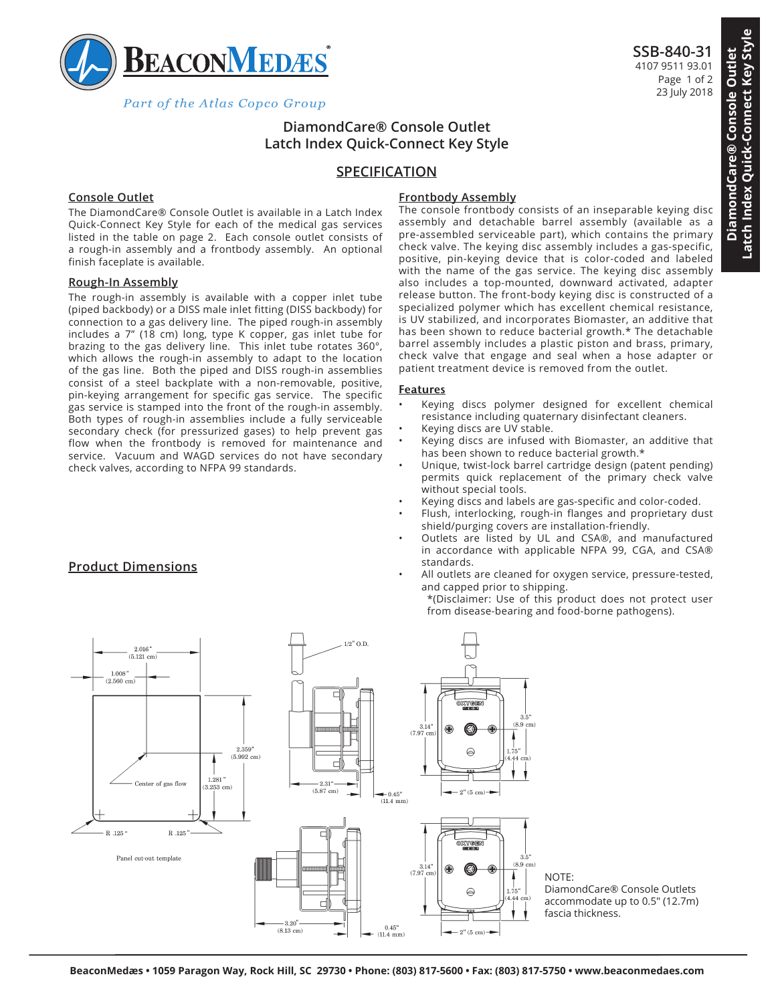

Part of the Atlas Copco Group

# **DiamondCare® Console Outlet Latch Index Quick-Connect Key Style**

## **SPECIFICATION**

### **Console Outlet**

The DiamondCare® Console Outlet is available in a Latch Index Quick-Connect Key Style for each of the medical gas services listed in the table on page 2. Each console outlet consists of a rough-in assembly and a frontbody assembly. An optional finish faceplate is available.

#### **Rough-In Assembly**

**Product Dimensions**

The rough-in assembly is available with a copper inlet tube (piped backbody) or a DISS male inlet fitting (DISS backbody) for connection to a gas delivery line. The piped rough-in assembly includes a 7" (18 cm) long, type K copper, gas inlet tube for brazing to the gas delivery line. This inlet tube rotates 360°, which allows the rough-in assembly to adapt to the location of the gas line. Both the piped and DISS rough-in assemblies consist of a steel backplate with a non-removable, positive, pin-keying arrangement for specific gas service. The specific gas service is stamped into the front of the rough-in assembly. Both types of rough-in assemblies include a fully serviceable secondary check (for pressurized gases) to help prevent gas flow when the frontbody is removed for maintenance and service. Vacuum and WAGD services do not have secondary check valves, according to NFPA 99 standards.

## **Frontbody Assembly**

The console frontbody consists of an inseparable keying disc assembly and detachable barrel assembly (available as a pre-assembled serviceable part), which contains the primary check valve. The keying disc assembly includes a gas-specific, positive, pin-keying device that is color-coded and labeled with the name of the gas service. The keying disc assembly also includes a top-mounted, downward activated, adapter release button. The front-body keying disc is constructed of a specialized polymer which has excellent chemical resistance, is UV stabilized, and incorporates Biomaster, an additive that has been shown to reduce bacterial growth.\* The detachable barrel assembly includes a plastic piston and brass, primary, check valve that engage and seal when a hose adapter or patient treatment device is removed from the outlet.

#### **Features**

- Keying discs polymer designed for excellent chemical resistance including quaternary disinfectant cleaners.
- Keying discs are UV stable.
- Keying discs are infused with Biomaster, an additive that has been shown to reduce bacterial growth.\*
- Unique, twist-lock barrel cartridge design (patent pending) permits quick replacement of the primary check valve without special tools.
- Keying discs and labels are gas-specific and color-coded.
- Flush, interlocking, rough-in flanges and proprietary dust shield/purging covers are installation-friendly.
- Outlets are listed by UL and CSA®, and manufactured in accordance with applicable NFPA 99, CGA, and CSA® standards.
- All outlets are cleaned for oxygen service, pressure-tested, and capped prior to shipping.

\*(Disclaimer: Use of this product does not protect user from disease-bearing and food-borne pathogens).



**Latch Index Quick-Connect Key Style**

Latch Index Quick-Connect Key Style

**SSB-840-31** 4107 9511 93.01